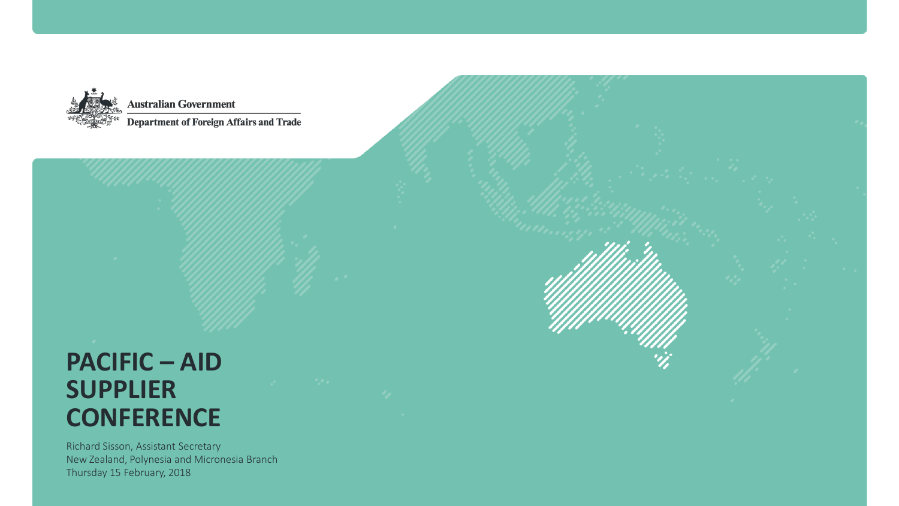

# **PACIFIC – AID SUPPLIER CONFERENCE**

Richard Sisson, Assistant Secretary New Zealand, Polynesia and Micronesia Branch Thursday 15 February, 2018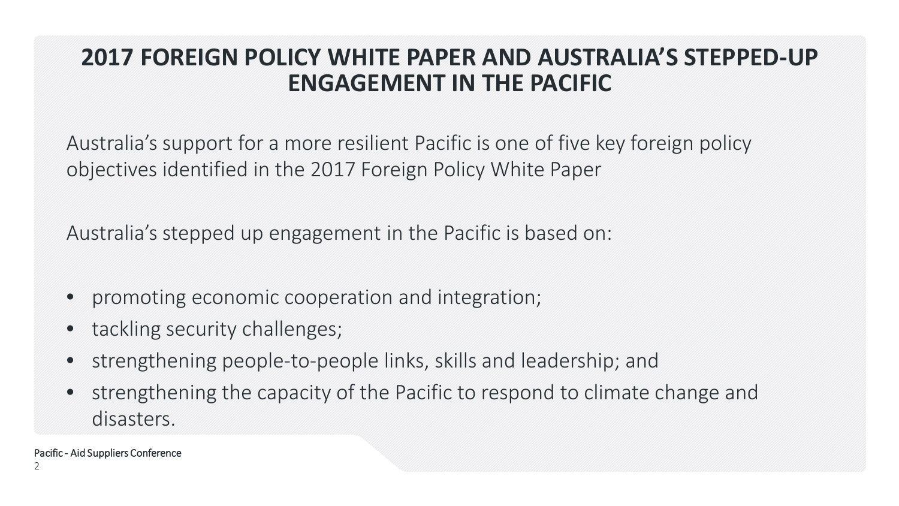### **2017 FOREIGN POLICY WHITE PAPER AND AUSTRALIA'S STEPPED-UP ENGAGEMENT IN THE PACIFIC**

Australia's support for a more resilient Pacific is one of five key foreign policy objectives identified in the 2017 Foreign Policy White Paper

Australia's stepped up engagement in the Pacific is based on:

- promoting economic cooperation and integration;
- tackling security challenges;
- strengthening people-to-people links, skills and leadership; and
- strengthening the capacity of the Pacific to respond to climate change and disasters.

Pacific - Aid Suppliers Conference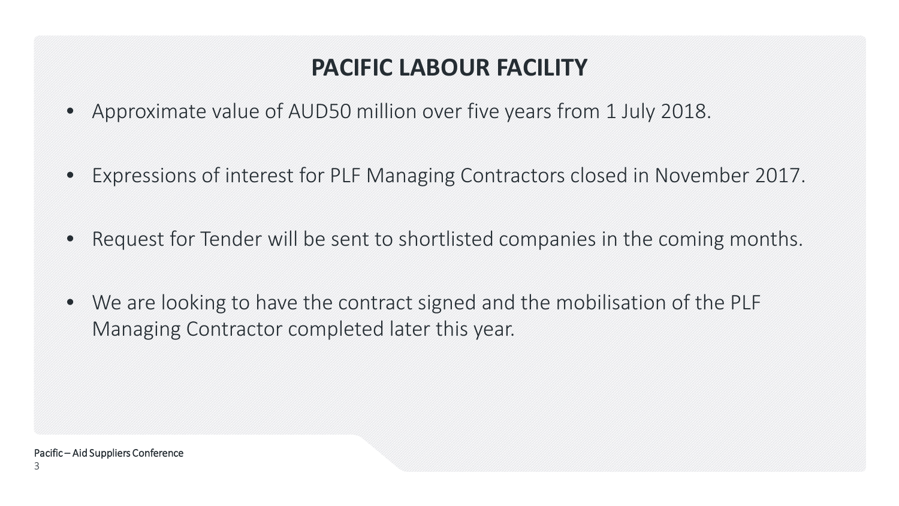# **PACIFIC LABOUR FACILITY**

- Approximate value of AUD50 million over five years from 1 July 2018.
- Expressions of interest for PLF Managing Contractors closed in November 2017.
- Request for Tender will be sent to shortlisted companies in the coming months.
- We are looking to have the contract signed and the mobilisation of the PLF Managing Contractor completed later this year.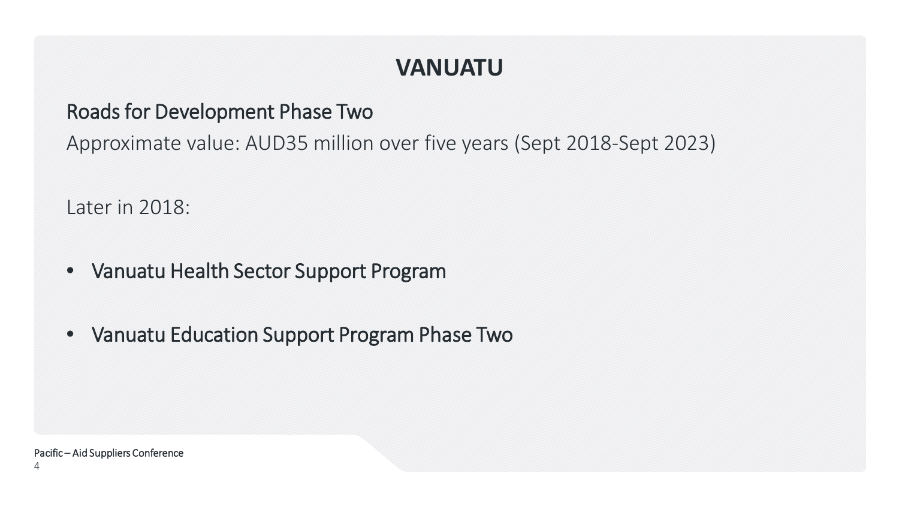# **VANUATU**

### Roads for Development Phase Two

Approximate value: AUD35 million over five years (Sept 2018-Sept 2023)

Later in 2018:

- Vanuatu Health Sector Support Program
- Vanuatu Education Support Program Phase Two

Pacific – Aid Suppliers Conference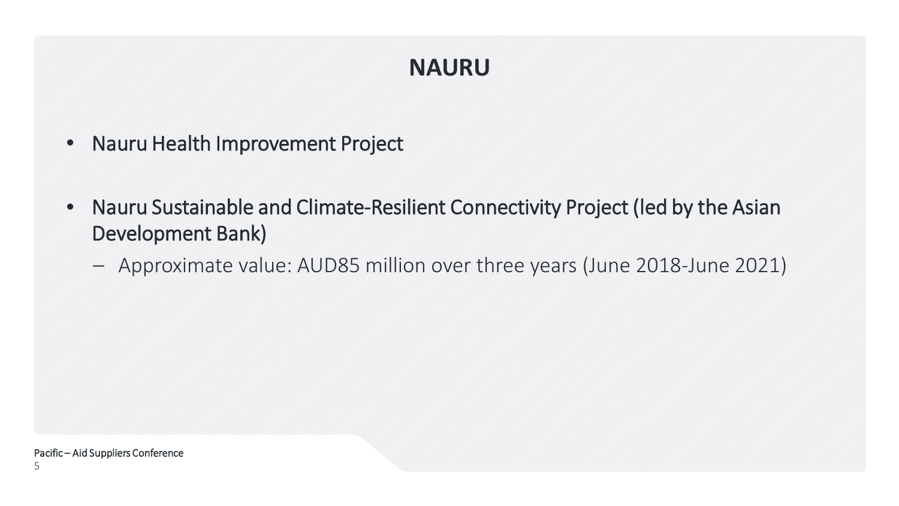# **NAURU**

- Nauru Health Improvement Project
- Nauru Sustainable and Climate-Resilient Connectivity Project (led by the Asian Development Bank)
	- Approximate value: AUD85 million over three years (June 2018-June 2021)

Pacific – Aid Suppliers Conference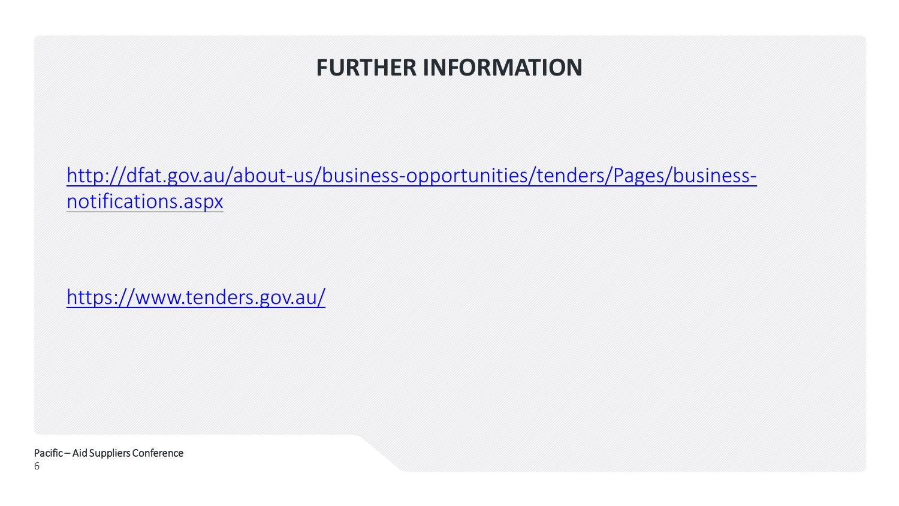### **FURTHER INFORMATION**

[http://dfat.gov.au/about-us/business-opportunities/tenders/Pages/business](http://dfat.gov.au/about-us/business-opportunities/tenders/Pages/business-notifications.aspx)notifications.aspx

<https://www.tenders.gov.au/>

Pacific – Aid Suppliers Conference